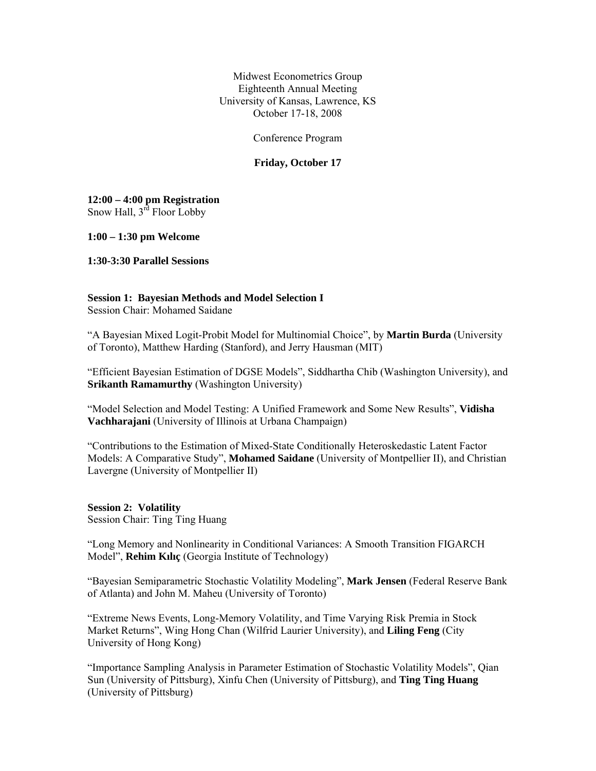Midwest Econometrics Group Eighteenth Annual Meeting University of Kansas, Lawrence, KS October 17-18, 2008

Conference Program

## **Friday, October 17**

**12:00 – 4:00 pm Registration**  Snow Hall, 3<sup>rd</sup> Floor Lobby

**1:00 – 1:30 pm Welcome** 

**1:30-3:30 Parallel Sessions** 

### **Session 1: Bayesian Methods and Model Selection I**

Session Chair: Mohamed Saidane

"A Bayesian Mixed Logit-Probit Model for Multinomial Choice", by **Martin Burda** (University of Toronto), Matthew Harding (Stanford), and Jerry Hausman (MIT)

"Efficient Bayesian Estimation of DGSE Models", Siddhartha Chib (Washington University), and **Srikanth Ramamurthy** (Washington University)

"Model Selection and Model Testing: A Unified Framework and Some New Results", **Vidisha Vachharajani** (University of Illinois at Urbana Champaign)

"Contributions to the Estimation of Mixed-State Conditionally Heteroskedastic Latent Factor Models: A Comparative Study", **Mohamed Saidane** (University of Montpellier II), and Christian Lavergne (University of Montpellier II)

## **Session 2: Volatility**

Session Chair: Ting Ting Huang

"Long Memory and Nonlinearity in Conditional Variances: A Smooth Transition FIGARCH Model", **Rehim Kılıç** (Georgia Institute of Technology)

"Bayesian Semiparametric Stochastic Volatility Modeling", **Mark Jensen** (Federal Reserve Bank of Atlanta) and John M. Maheu (University of Toronto)

"Extreme News Events, Long-Memory Volatility, and Time Varying Risk Premia in Stock Market Returns", Wing Hong Chan (Wilfrid Laurier University), and **Liling Feng** (City University of Hong Kong)

"Importance Sampling Analysis in Parameter Estimation of Stochastic Volatility Models", Qian Sun (University of Pittsburg), Xinfu Chen (University of Pittsburg), and **Ting Ting Huang** (University of Pittsburg)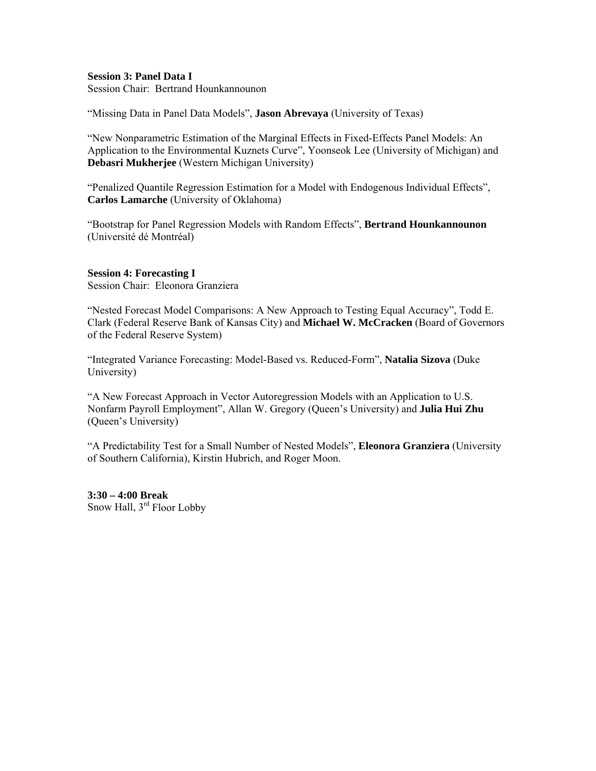## **Session 3: Panel Data I**

Session Chair: Bertrand Hounkannounon

"Missing Data in Panel Data Models", **Jason Abrevaya** (University of Texas)

"New Nonparametric Estimation of the Marginal Effects in Fixed-Effects Panel Models: An Application to the Environmental Kuznets Curve", Yoonseok Lee (University of Michigan) and **Debasri Mukherjee** (Western Michigan University)

"Penalized Quantile Regression Estimation for a Model with Endogenous Individual Effects", **Carlos Lamarche** (University of Oklahoma)

"Bootstrap for Panel Regression Models with Random Effects", **Bertrand Hounkannounon** (Université dé Montréal)

# **Session 4: Forecasting I**

Session Chair: Eleonora Granziera

"Nested Forecast Model Comparisons: A New Approach to Testing Equal Accuracy", Todd E. Clark (Federal Reserve Bank of Kansas City) and **Michael W. McCracken** (Board of Governors of the Federal Reserve System)

"Integrated Variance Forecasting: Model-Based vs. Reduced-Form", **Natalia Sizova** (Duke University)

"A New Forecast Approach in Vector Autoregression Models with an Application to U.S. Nonfarm Payroll Employment", Allan W. Gregory (Queen's University) and **Julia Hui Zhu** (Queen's University)

"A Predictability Test for a Small Number of Nested Models", **Eleonora Granziera** (University of Southern California), Kirstin Hubrich, and Roger Moon.

**3:30 – 4:00 Break**  Snow Hall, 3rd Floor Lobby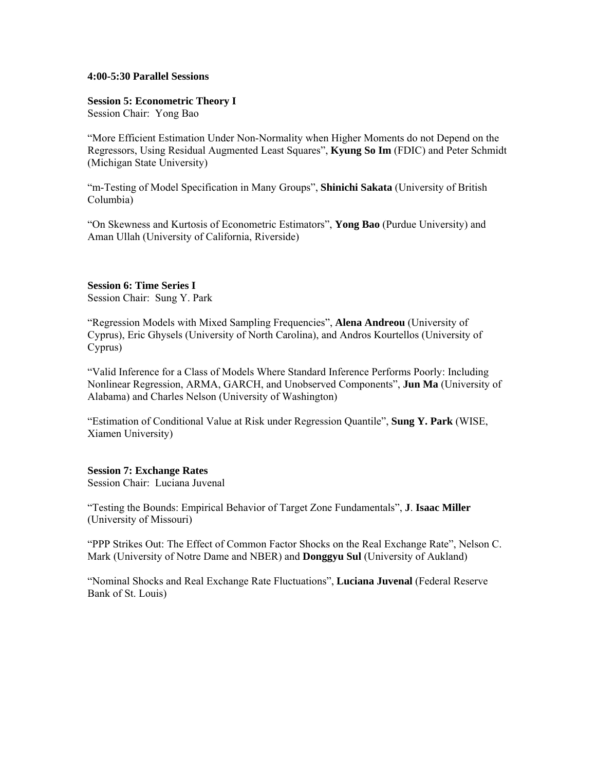### **4:00-5:30 Parallel Sessions**

## **Session 5: Econometric Theory I**

Session Chair: Yong Bao

"More Efficient Estimation Under Non-Normality when Higher Moments do not Depend on the Regressors, Using Residual Augmented Least Squares", **Kyung So Im** (FDIC) and Peter Schmidt (Michigan State University)

"m-Testing of Model Specification in Many Groups", **Shinichi Sakata** (University of British Columbia)

"On Skewness and Kurtosis of Econometric Estimators", **Yong Bao** (Purdue University) and Aman Ullah (University of California, Riverside)

# **Session 6: Time Series I**

Session Chair: Sung Y. Park

"Regression Models with Mixed Sampling Frequencies", **Alena Andreou** (University of Cyprus), Eric Ghysels (University of North Carolina), and Andros Kourtellos (University of Cyprus)

"Valid Inference for a Class of Models Where Standard Inference Performs Poorly: Including Nonlinear Regression, ARMA, GARCH, and Unobserved Components", **Jun Ma** (University of Alabama) and Charles Nelson (University of Washington)

"Estimation of Conditional Value at Risk under Regression Quantile", **Sung Y. Park** (WISE, Xiamen University)

## **Session 7: Exchange Rates**

Session Chair: Luciana Juvenal

"Testing the Bounds: Empirical Behavior of Target Zone Fundamentals", **J**. **Isaac Miller** (University of Missouri)

"PPP Strikes Out: The Effect of Common Factor Shocks on the Real Exchange Rate", Nelson C. Mark (University of Notre Dame and NBER) and **Donggyu Sul** (University of Aukland)

"Nominal Shocks and Real Exchange Rate Fluctuations", **Luciana Juvenal** (Federal Reserve Bank of St. Louis)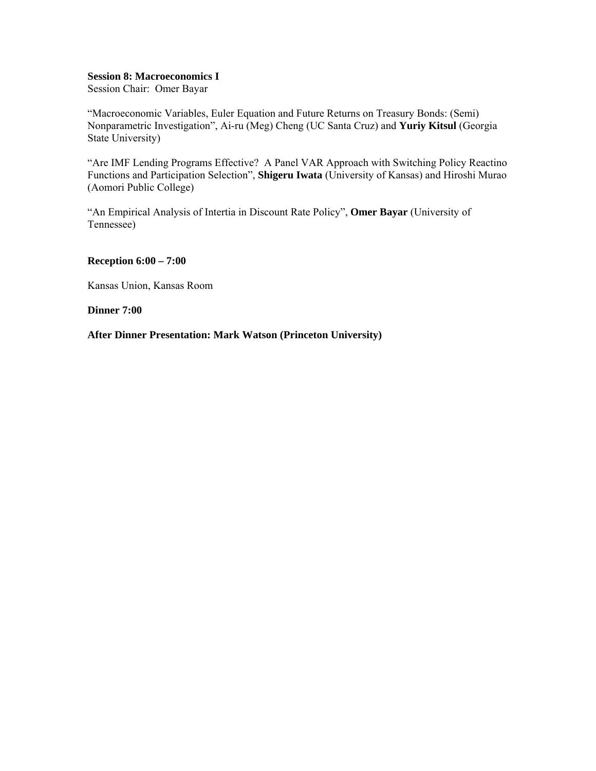#### **Session 8: Macroeconomics I**

Session Chair: Omer Bayar

"Macroeconomic Variables, Euler Equation and Future Returns on Treasury Bonds: (Semi) Nonparametric Investigation", Ai-ru (Meg) Cheng (UC Santa Cruz) and **Yuriy Kitsul** (Georgia State University)

"Are IMF Lending Programs Effective? A Panel VAR Approach with Switching Policy Reactino Functions and Participation Selection", **Shigeru Iwata** (University of Kansas) and Hiroshi Murao (Aomori Public College)

"An Empirical Analysis of Intertia in Discount Rate Policy", **Omer Bayar** (University of Tennessee)

#### **Reception 6:00 – 7:00**

Kansas Union, Kansas Room

#### **Dinner 7:00**

### **After Dinner Presentation: Mark Watson (Princeton University)**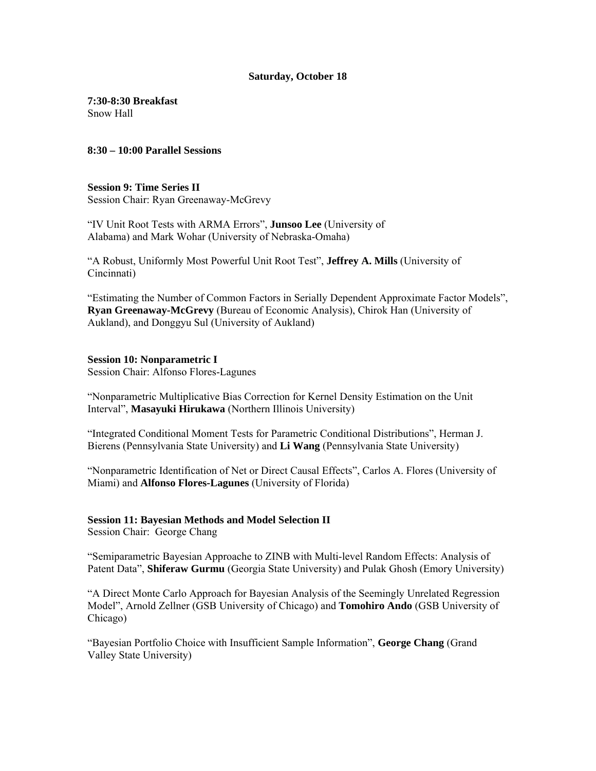### **Saturday, October 18**

**7:30-8:30 Breakfast**  Snow Hall

**8:30 – 10:00 Parallel Sessions** 

## **Session 9: Time Series II**

Session Chair: Ryan Greenaway-McGrevy

"IV Unit Root Tests with ARMA Errors", **Junsoo Lee** (University of Alabama) and Mark Wohar (University of Nebraska-Omaha)

"A Robust, Uniformly Most Powerful Unit Root Test", **Jeffrey A. Mills** (University of Cincinnati)

"Estimating the Number of Common Factors in Serially Dependent Approximate Factor Models", **Ryan Greenaway-McGrevy** (Bureau of Economic Analysis), Chirok Han (University of Aukland), and Donggyu Sul (University of Aukland)

# **Session 10: Nonparametric I**

Session Chair: Alfonso Flores-Lagunes

"Nonparametric Multiplicative Bias Correction for Kernel Density Estimation on the Unit Interval", **Masayuki Hirukawa** (Northern Illinois University)

"Integrated Conditional Moment Tests for Parametric Conditional Distributions", Herman J. Bierens (Pennsylvania State University) and **Li Wang** (Pennsylvania State University)

"Nonparametric Identification of Net or Direct Causal Effects", Carlos A. Flores (University of Miami) and **Alfonso Flores-Lagunes** (University of Florida)

# **Session 11: Bayesian Methods and Model Selection II**

Session Chair: George Chang

"Semiparametric Bayesian Approache to ZINB with Multi-level Random Effects: Analysis of Patent Data", **Shiferaw Gurmu** (Georgia State University) and Pulak Ghosh (Emory University)

"A Direct Monte Carlo Approach for Bayesian Analysis of the Seemingly Unrelated Regression Model", Arnold Zellner (GSB University of Chicago) and **Tomohiro Ando** (GSB University of Chicago)

"Bayesian Portfolio Choice with Insufficient Sample Information", **George Chang** (Grand Valley State University)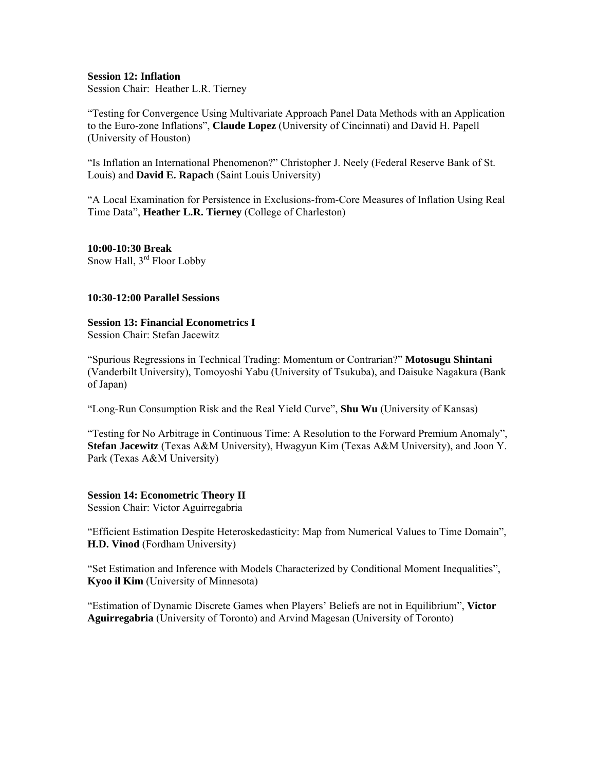# **Session 12: Inflation**

Session Chair: Heather L.R. Tierney

"Testing for Convergence Using Multivariate Approach Panel Data Methods with an Application to the Euro-zone Inflations", **Claude Lopez** (University of Cincinnati) and David H. Papell (University of Houston)

"Is Inflation an International Phenomenon?" Christopher J. Neely (Federal Reserve Bank of St. Louis) and **David E. Rapach** (Saint Louis University)

"A Local Examination for Persistence in Exclusions-from-Core Measures of Inflation Using Real Time Data", **Heather L.R. Tierney** (College of Charleston)

**10:00-10:30 Break**  Snow Hall, 3<sup>rd</sup> Floor Lobby

# **10:30-12:00 Parallel Sessions**

# **Session 13: Financial Econometrics I**

Session Chair: Stefan Jacewitz

"Spurious Regressions in Technical Trading: Momentum or Contrarian?" **Motosugu Shintani** (Vanderbilt University), Tomoyoshi Yabu (University of Tsukuba), and Daisuke Nagakura (Bank of Japan)

"Long-Run Consumption Risk and the Real Yield Curve", **Shu Wu** (University of Kansas)

"Testing for No Arbitrage in Continuous Time: A Resolution to the Forward Premium Anomaly", **Stefan Jacewitz** (Texas A&M University), Hwagyun Kim (Texas A&M University), and Joon Y. Park (Texas A&M University)

# **Session 14: Econometric Theory II**

Session Chair: Victor Aguirregabria

"Efficient Estimation Despite Heteroskedasticity: Map from Numerical Values to Time Domain", **H.D. Vinod** (Fordham University)

"Set Estimation and Inference with Models Characterized by Conditional Moment Inequalities", **Kyoo il Kim** (University of Minnesota)

"Estimation of Dynamic Discrete Games when Players' Beliefs are not in Equilibrium", **Victor Aguirregabria** (University of Toronto) and Arvind Magesan (University of Toronto)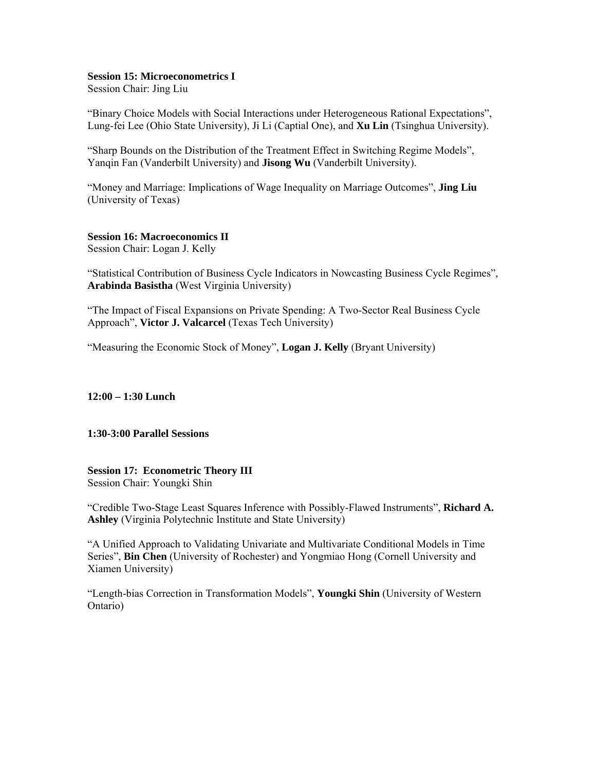## **Session 15: Microeconometrics I**

Session Chair: Jing Liu

"Binary Choice Models with Social Interactions under Heterogeneous Rational Expectations", Lung-fei Lee (Ohio State University), Ji Li (Captial One), and **Xu Lin** (Tsinghua University).

"Sharp Bounds on the Distribution of the Treatment Effect in Switching Regime Models", Yangin Fan (Vanderbilt University) and **Jisong Wu** (Vanderbilt University).

"Money and Marriage: Implications of Wage Inequality on Marriage Outcomes", **Jing Liu** (University of Texas)

# **Session 16: Macroeconomics II**

Session Chair: Logan J. Kelly

"Statistical Contribution of Business Cycle Indicators in Nowcasting Business Cycle Regimes", **Arabinda Basistha** (West Virginia University)

"The Impact of Fiscal Expansions on Private Spending: A Two-Sector Real Business Cycle Approach", **Victor J. Valcarcel** (Texas Tech University)

"Measuring the Economic Stock of Money", **Logan J. Kelly** (Bryant University)

**12:00 – 1:30 Lunch** 

### **1:30-3:00 Parallel Sessions**

# **Session 17: Econometric Theory III**

Session Chair: Youngki Shin

"Credible Two-Stage Least Squares Inference with Possibly-Flawed Instruments", **Richard A. Ashley** (Virginia Polytechnic Institute and State University)

"A Unified Approach to Validating Univariate and Multivariate Conditional Models in Time Series", **Bin Chen** (University of Rochester) and Yongmiao Hong (Cornell University and Xiamen University)

"Length-bias Correction in Transformation Models", **Youngki Shin** (University of Western Ontario)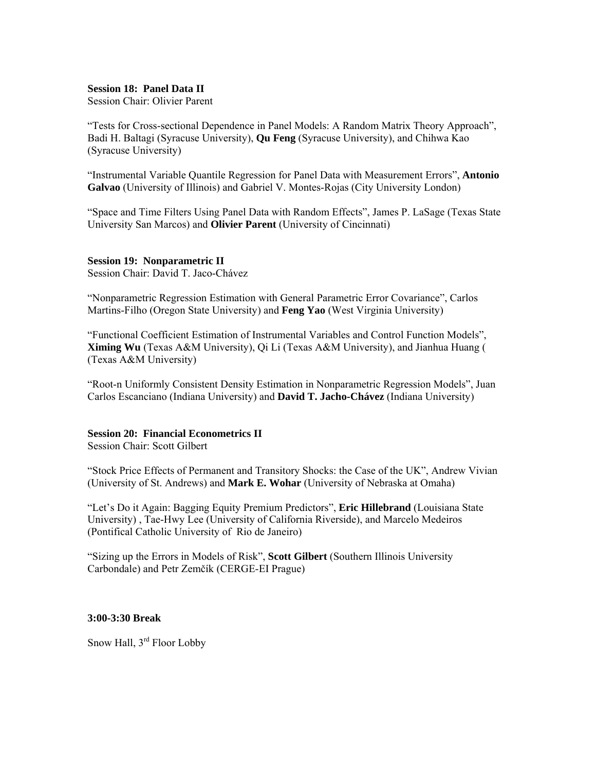# **Session 18: Panel Data II**

Session Chair: Olivier Parent

"Tests for Cross-sectional Dependence in Panel Models: A Random Matrix Theory Approach", Badi H. Baltagi (Syracuse University), **Qu Feng** (Syracuse University), and Chihwa Kao (Syracuse University)

"Instrumental Variable Quantile Regression for Panel Data with Measurement Errors", **Antonio Galvao** (University of Illinois) and Gabriel V. Montes-Rojas (City University London)

"Space and Time Filters Using Panel Data with Random Effects", James P. LaSage (Texas State University San Marcos) and **Olivier Parent** (University of Cincinnati)

#### **Session 19: Nonparametric II**

Session Chair: David T. Jaco-Chávez

"Nonparametric Regression Estimation with General Parametric Error Covariance", Carlos Martins-Filho (Oregon State University) and **Feng Yao** (West Virginia University)

"Functional Coefficient Estimation of Instrumental Variables and Control Function Models", **Ximing Wu** (Texas A&M University), Qi Li (Texas A&M University), and Jianhua Huang ( (Texas A&M University)

"Root-n Uniformly Consistent Density Estimation in Nonparametric Regression Models", Juan Carlos Escanciano (Indiana University) and **David T. Jacho-Chávez** (Indiana University)

## **Session 20: Financial Econometrics II**

Session Chair: Scott Gilbert

"Stock Price Effects of Permanent and Transitory Shocks: the Case of the UK", Andrew Vivian (University of St. Andrews) and **Mark E. Wohar** (University of Nebraska at Omaha)

"Let's Do it Again: Bagging Equity Premium Predictors", **Eric Hillebrand** (Louisiana State University) , Tae-Hwy Lee (University of California Riverside), and Marcelo Medeiros (Pontifical Catholic University of Rio de Janeiro)

"Sizing up the Errors in Models of Risk", **Scott Gilbert** (Southern Illinois University Carbondale) and Petr Zemčík (CERGE-EI Prague)

## **3:00-3:30 Break**

Snow Hall, 3<sup>rd</sup> Floor Lobby